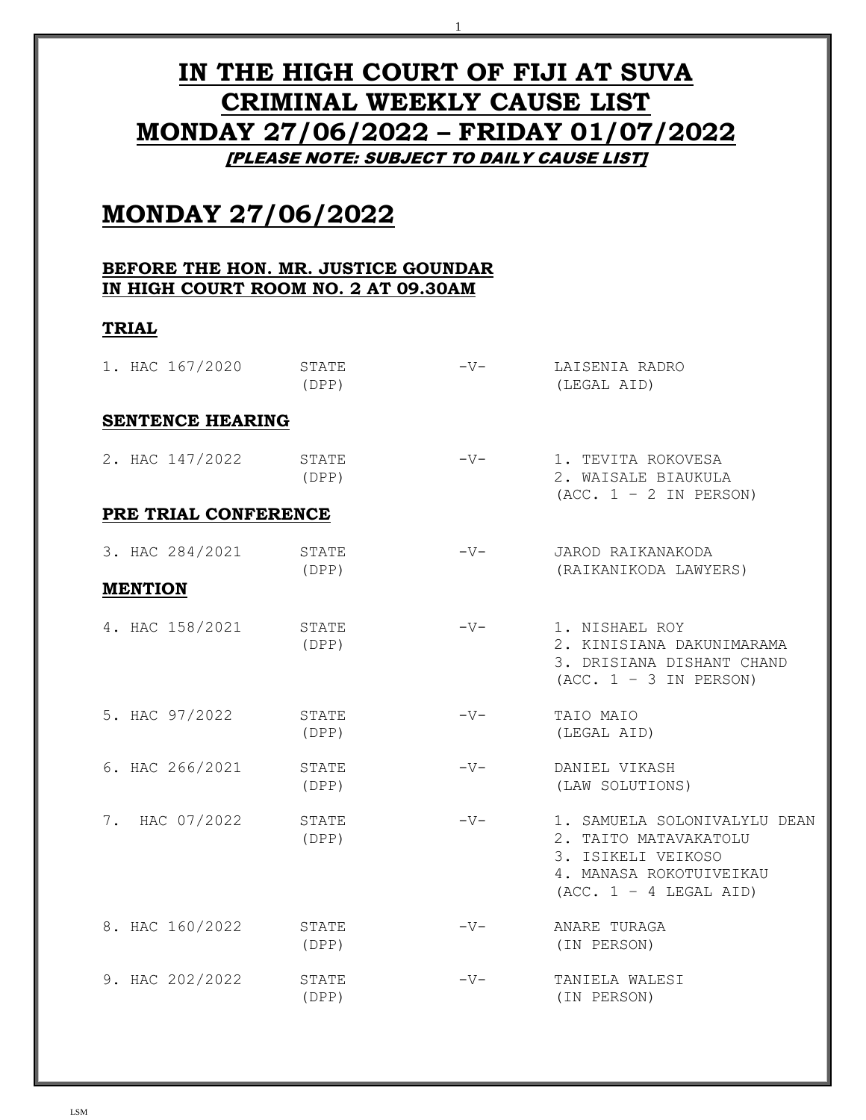# **IN THE HIGH COURT OF FIJI AT SUVA CRIMINAL WEEKLY CAUSE LIST MONDAY 27/06/2022 – FRIDAY 01/07/2022** [PLEASE NOTE: SUBJECT TO DAILY CAUSE LIST]

1

# **MONDAY 27/06/2022**

#### **BEFORE THE HON. MR. JUSTICE GOUNDAR IN HIGH COURT ROOM NO. 2 AT 09.30AM**

## **TRIAL**

| 1. HAC 167/2020         | STATE<br>(DPP) | $-V-$ | LAISENIA RADRO<br>(LEGAL AID)                                                                                                      |
|-------------------------|----------------|-------|------------------------------------------------------------------------------------------------------------------------------------|
| <b>SENTENCE HEARING</b> |                |       |                                                                                                                                    |
| 2. HAC 147/2022         | STATE<br>(DPP) | $-V-$ | 1. TEVITA ROKOVESA<br>2. WAISALE BIAUKULA<br>$(ACC. 1 - 2 IN PERSON)$                                                              |
| PRE TRIAL CONFERENCE    |                |       |                                                                                                                                    |
| 3. HAC 284/2021         | STATE<br>(DPP) | $-V-$ | JAROD RAIKANAKODA<br>(RAIKANIKODA LAWYERS)                                                                                         |
| <b>MENTION</b>          |                |       |                                                                                                                                    |
| 4. HAC 158/2021         | STATE<br>(DPP) | $-V-$ | 1. NISHAEL ROY<br>2. KINISIANA DAKUNIMARAMA<br>3. DRISIANA DISHANT CHAND<br>$(ACC. 1 - 3 IN PERSON)$                               |
| 5. HAC 97/2022          | STATE<br>(DPP) | $-V-$ | TAIO MAIO<br>(LEGAL AID)                                                                                                           |
| 6. HAC 266/2021         | STATE<br>(DPP) | $-V-$ | DANIEL VIKASH<br>(LAW SOLUTIONS)                                                                                                   |
| 7. HAC 07/2022          | STATE<br>(DPP) | $-V-$ | 1. SAMUELA SOLONIVALYLU DEAN<br>2. TAITO MATAVAKATOLU<br>3. ISIKELI VEIKOSO<br>4. MANASA ROKOTUIVEIKAU<br>$(ACC. 1 - 4 LEGAL AID)$ |
| 8. HAC 160/2022         | STATE<br>(DPP) | $-V-$ | ANARE TURAGA<br>(IN PERSON)                                                                                                        |
| 9. HAC 202/2022         | STATE<br>(DPP) | $-V-$ | TANIELA WALESI<br>(IN PERSON)                                                                                                      |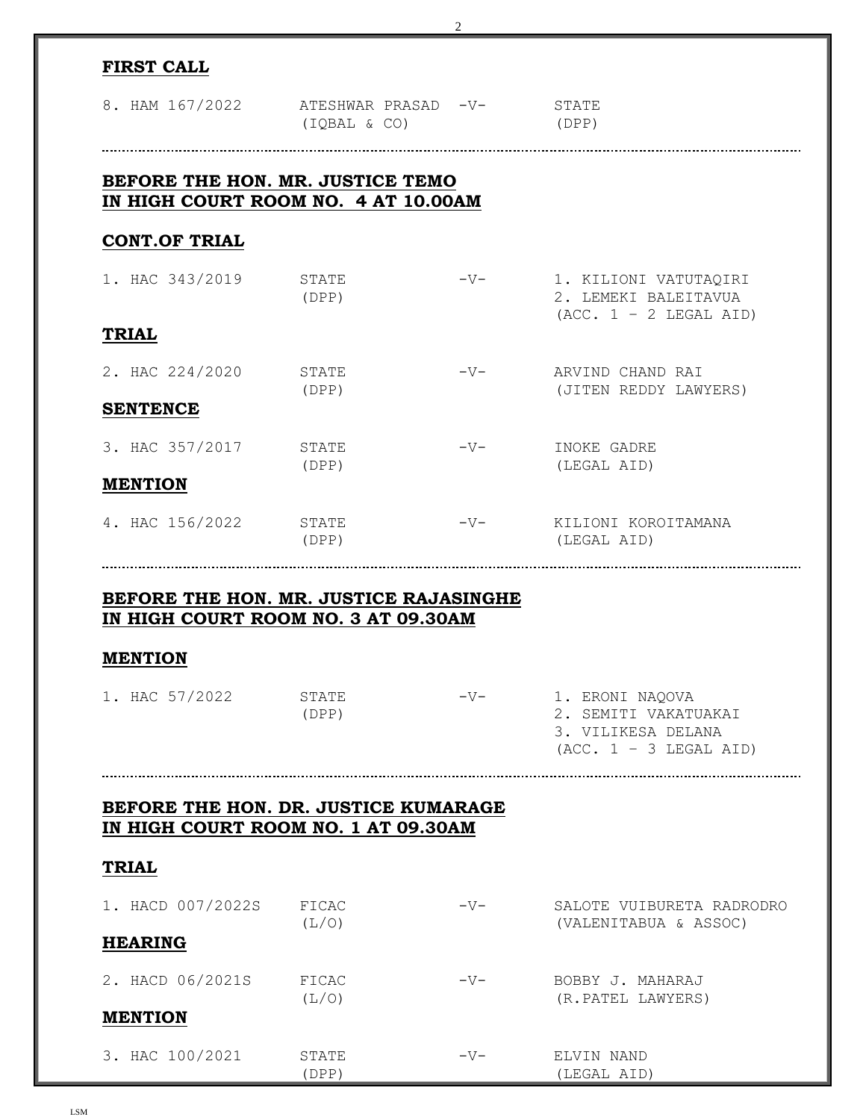|                                                                               |                | 2     |                                                                                           |
|-------------------------------------------------------------------------------|----------------|-------|-------------------------------------------------------------------------------------------|
| <b>FIRST CALL</b>                                                             |                |       |                                                                                           |
| 8. HAM 167/2022 ATESHWAR PRASAD -V-                                           | (IQBAL & CO)   |       | STATE<br>(DPP)                                                                            |
| BEFORE THE HON. MR. JUSTICE TEMO<br>IN HIGH COURT ROOM NO. 4 AT 10.00AM       |                |       |                                                                                           |
| <b>CONT.OF TRIAL</b>                                                          |                |       |                                                                                           |
| 1. HAC 343/2019                                                               | STATE<br>(DPP) | $-V-$ | 1. KILIONI VATUTAQIRI<br>2. LEMEKI BALEITAVUA<br>$(ACC. 1 - 2 LEGAL AID)$                 |
| <b>TRIAL</b>                                                                  |                |       |                                                                                           |
| 2. HAC 224/2020                                                               | STATE<br>(DPP) | $-V-$ | ARVIND CHAND RAI<br>(JITEN REDDY LAWYERS)                                                 |
| <b>SENTENCE</b>                                                               |                |       |                                                                                           |
| 3. HAC 357/2017                                                               | STATE<br>(DPP) | $-V-$ | INOKE GADRE<br>(LEGAL AID)                                                                |
| <b>MENTION</b>                                                                |                |       |                                                                                           |
| 4. HAC 156/2022                                                               | STATE<br>(DPP) | $-V-$ | KILIONI KOROITAMANA<br>(LEGAL AID)                                                        |
|                                                                               |                |       |                                                                                           |
| BEFORE THE HON. MR. JUSTICE RAJASINGHE<br>IN HIGH COURT ROOM NO. 3 AT 09.30AM |                |       |                                                                                           |
| <b>MENTION</b>                                                                |                |       |                                                                                           |
| 1. HAC 57/2022                                                                | STATE<br>(DPP) | $-V-$ | 1. ERONI NAQOVA<br>2. SEMITI VAKATUAKAI<br>3. VILIKESA DELANA<br>$(ACC. 1 - 3 LEGAL AID)$ |
|                                                                               |                |       |                                                                                           |
| BEFORE THE HON. DR. JUSTICE KUMARAGE<br>IN HIGH COURT ROOM NO. 1 AT 09.30AM   |                |       |                                                                                           |
| <b>TRIAL</b>                                                                  |                |       |                                                                                           |
| 1. HACD 007/2022S                                                             | FICAC<br>(L/O) | $-V-$ | SALOTE VUIBURETA RADRODRO<br>(VALENITABUA & ASSOC)                                        |
| <b>HEARING</b>                                                                |                |       |                                                                                           |
| 2. HACD 06/2021S                                                              | FICAC<br>(L/O) | $-V-$ | BOBBY J. MAHARAJ<br>(R.PATEL LAWYERS)                                                     |
| <b>MENTION</b>                                                                |                |       |                                                                                           |
| 3. HAC 100/2021                                                               | STATE<br>(DPP) | $-V-$ | ELVIN NAND<br>(LEGAL AID)                                                                 |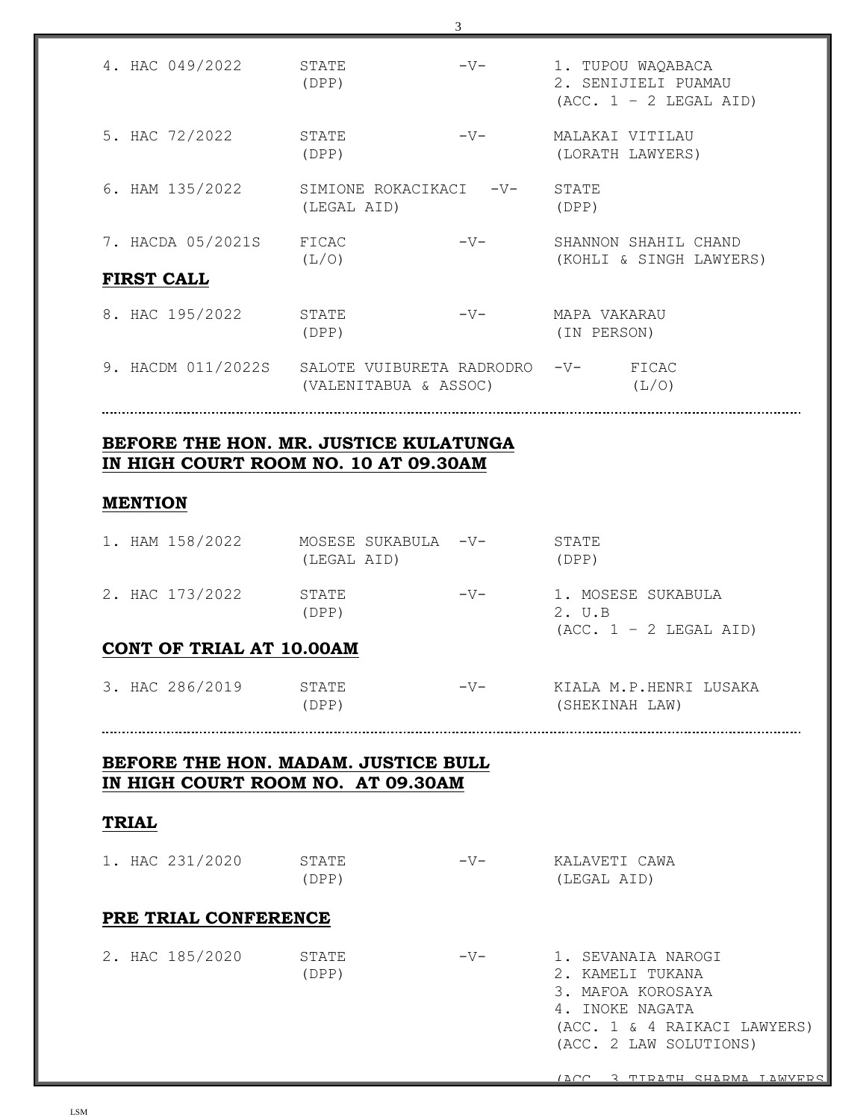| 4. HAC 049/2022                        | STATE<br>(DPP)                                     | $-V-$ |                             | 1. TUPOU WAQABACA<br>2. SENIJIELI PUAMAU<br>$(ACC. 1 - 2 LEGAL AID)$ |
|----------------------------------------|----------------------------------------------------|-------|-----------------------------|----------------------------------------------------------------------|
| 5. HAC 72/2022                         | STATE<br>(DPP)                                     | $-V-$ |                             | MALAKAI VITILAU<br>(LORATH LAWYERS)                                  |
| 6. HAM 135/2022                        | SIMIONE ROKACIKACI -V-<br>(LEGAL AID)              |       | STATE<br>(DPP)              |                                                                      |
| 7. HACDA 05/2021S<br><b>FIRST CALL</b> | FICAC<br>(L/O)                                     | $-V-$ |                             | SHANNON SHAHIL CHAND<br>(KOHLI & SINGH LAWYERS)                      |
| 8. HAC 195/2022                        | STATE<br>(DPP)                                     | $-V-$ | MAPA VAKARAU<br>(IN PERSON) |                                                                      |
| 9. HACDM 011/2022S                     | SALOTE VUIBURETA RADRODRO<br>(VALENITABUA & ASSOC) |       | $-V-$                       | FICAC<br>(L/O)                                                       |

#### **BEFORE THE HON. MR. JUSTICE KULATUNGA IN HIGH COURT ROOM NO. 10 AT 09.30AM**

#### **MENTION**

|  | 1. HAM 158/2022 | (LEGAL AID)    | MOSESE SUKABULA -V- |       | STATE<br>(DPP)                                           |  |
|--|-----------------|----------------|---------------------|-------|----------------------------------------------------------|--|
|  | 2. HAC 173/2022 | STATE<br>(DPP) |                     | $-V-$ | 1. MOSESE SUKABULA<br>2. U.B<br>$(ACC. 1 - 2 LEGAL AID)$ |  |

## **CONT OF TRIAL AT 10.00AM**

| 3. HAC 286/2019 | STATE | $-V-$ | KIALA M.P.HENRI LUSAKA |
|-----------------|-------|-------|------------------------|
|                 | 'DPP) |       | (SHEKINAH LAW)         |

#### **BEFORE THE HON. MADAM. JUSTICE BULL IN HIGH COURT ROOM NO. AT 09.30AM**

#### **TRIAL**

| 1. HAC 231/2020      | STATE<br>(DPP) | $-V-$ | KALAVETI CAWA<br>(LEGAL AID)                                                                                                             |
|----------------------|----------------|-------|------------------------------------------------------------------------------------------------------------------------------------------|
| PRE TRIAL CONFERENCE |                |       |                                                                                                                                          |
| 2. HAC 185/2020      | STATE<br>(DPP) | $-V-$ | 1. SEVANAIA NAROGI<br>2. KAMELI TUKANA<br>3. MAFOA KOROSAYA<br>4. INOKE NAGATA<br>(ACC. 1 & 4 RAIKACI LAWYERS)<br>(ACC. 2 LAW SOLUTIONS) |

(ACC. 3 TIRATH SHARMA LAWYERS)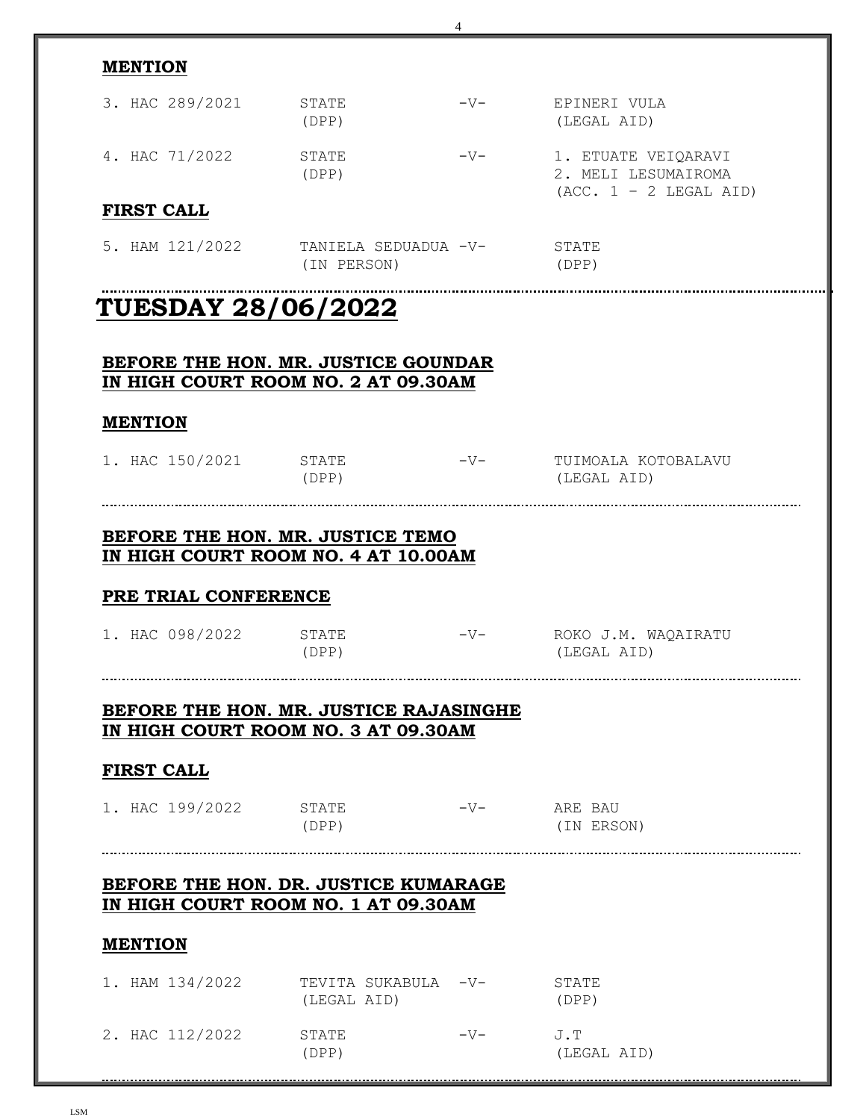| <b>MENTION</b>                      |                                                                            |       |                                                                        |
|-------------------------------------|----------------------------------------------------------------------------|-------|------------------------------------------------------------------------|
| 3. HAC 289/2021                     | STATE<br>(DPP)                                                             | $-V-$ | EPINERI VULA<br>(LEGAL AID)                                            |
| 4. HAC 71/2022                      | STATE<br>(DPP)                                                             | $-V-$ | 1. ETUATE VEIQARAVI<br>2. MELI LESUMAIROMA<br>$(ACC. 1 - 2 LEGAL AID)$ |
| <b>FIRST CALL</b>                   |                                                                            |       |                                                                        |
| 5. HAM 121/2022                     | TANIELA SEDUADUA -V-<br>(IN PERSON)                                        |       | STATE<br>(DPP)                                                         |
| <b>TUESDAY 28/06/2022</b>           |                                                                            |       |                                                                        |
|                                     |                                                                            |       |                                                                        |
|                                     | BEFORE THE HON. MR. JUSTICE GOUNDAR<br>IN HIGH COURT ROOM NO. 2 AT 09.30AM |       |                                                                        |
|                                     |                                                                            |       |                                                                        |
| <b>MENTION</b>                      |                                                                            |       |                                                                        |
| 1. HAC 150/2021                     | STATE<br>(DPP)                                                             | $-V-$ | TUIMOALA KOTOBALAVU<br>(LEGAL AID)                                     |
|                                     |                                                                            |       |                                                                        |
|                                     | BEFORE THE HON. MR. JUSTICE TEMO                                           |       |                                                                        |
|                                     | IN HIGH COURT ROOM NO. 4 AT 10.00AM                                        |       |                                                                        |
| PRE TRIAL CONFERENCE                |                                                                            |       |                                                                        |
| 1. HAC 098/2022                     | STATE                                                                      | $-V-$ | ROKO J.M. WAQAIRATU                                                    |
|                                     | (DPP)                                                                      |       | (LEGAL AID)                                                            |
|                                     |                                                                            |       |                                                                        |
|                                     | BEFORE THE HON. MR. JUSTICE RAJASINGHE                                     |       |                                                                        |
| IN HIGH COURT ROOM NO. 3 AT 09.30AM |                                                                            |       |                                                                        |
|                                     |                                                                            |       |                                                                        |
| <b>FIRST CALL</b>                   |                                                                            |       |                                                                        |
|                                     |                                                                            |       |                                                                        |
| 1. HAC 199/2022                     | STATE<br>(DPP)                                                             |       | (IN ERSON)                                                             |
|                                     |                                                                            |       |                                                                        |
|                                     | BEFORE THE HON. DR. JUSTICE KUMARAGE                                       |       |                                                                        |
|                                     | IN HIGH COURT ROOM NO. 1 AT 09.30AM                                        |       |                                                                        |
| <b>MENTION</b>                      |                                                                            |       |                                                                        |
| 1. HAM 134/2022                     | TEVITA SUKABULA -V-                                                        |       | STATE                                                                  |
|                                     | (LEGAL AID)                                                                |       | (DPP)                                                                  |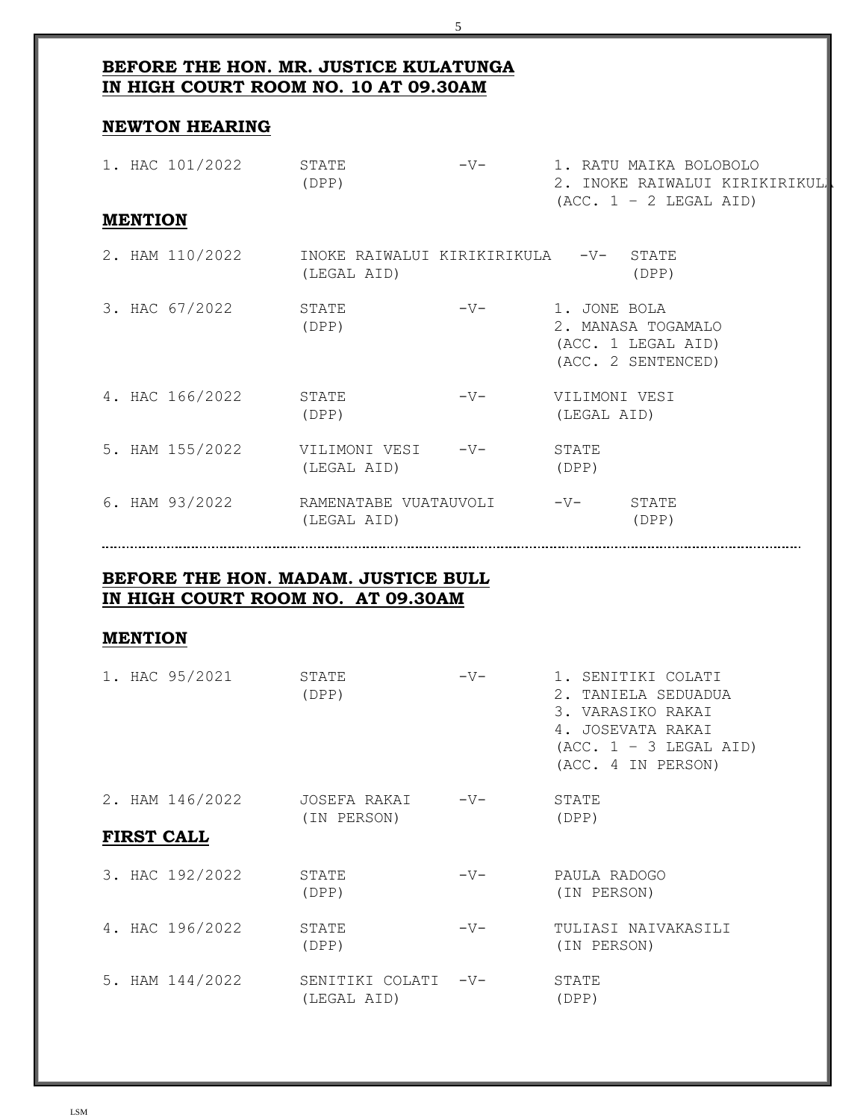## **BEFORE THE HON. MR. JUSTICE KULATUNGA IN HIGH COURT ROOM NO. 10 AT 09.30AM**

#### **NEWTON HEARING**

| 1. HAC 101/2022 | STATE<br>(DPP)                                       | $-V-$ |                |              | 1. RATU MAIKA BOLOBOLO<br>$(ACC. 1 - 2 LEGAL AID)$             | 2. INOKE RAIWALUI KIRIKIRIKUL |
|-----------------|------------------------------------------------------|-------|----------------|--------------|----------------------------------------------------------------|-------------------------------|
| <b>MENTION</b>  |                                                      |       |                |              |                                                                |                               |
| 2. HAM 110/2022 | INOKE RAIWALUI KIRIKIRIKULA -V- STATE<br>(LEGAL AID) |       |                |              | (DPP)                                                          |                               |
| 3. HAC 67/2022  | STATE<br>(DPP)                                       | $-V-$ |                | 1. JONE BOLA | 2. MANASA TOGAMALO<br>(ACC. 1 LEGAL AID)<br>(ACC. 2 SENTENCED) |                               |
| 4. HAC 166/2022 | STATE<br>(DPP)                                       | $-V-$ |                | (LEGAL AID)  | VILIMONI VESI                                                  |                               |
| 5. HAM 155/2022 | VILIMONI VESI     -V-<br>(LEGAL AID)                 |       | STATE<br>(DPP) |              |                                                                |                               |
| 6. HAM 93/2022  | RAMENATABE VUATAUVOLI<br>(LEGAL AID)                 |       | $-V-$          |              | STATE<br>(DPP)                                                 |                               |

5

#### **BEFORE THE HON. MADAM. JUSTICE BULL IN HIGH COURT ROOM NO. AT 09.30AM**

#### **MENTION**

| 1. HAC 95/2021    | STATE<br>(DPP)                     | $-V-$ | 1. SENITIKI COLATI<br>2. TANIELA SEDUADUA<br>3. VARASIKO RAKAI<br>4. JOSEVATA RAKAI<br>$(ACC. 1 - 3 LEGAL AID)$<br>(ACC. 4 IN PERSON) |
|-------------------|------------------------------------|-------|---------------------------------------------------------------------------------------------------------------------------------------|
| 2. HAM 146/2022   | JOSEFA RAKAI<br>(IN PERSON)        | $-V-$ | STATE<br>(DPP)                                                                                                                        |
| <b>FIRST CALL</b> |                                    |       |                                                                                                                                       |
| 3. HAC 192/2022   | STATE<br>(DPP)                     | $-V-$ | PAULA RADOGO<br>(IN PERSON)                                                                                                           |
| 4. HAC 196/2022   | STATE<br>(DPP)                     | $-V-$ | TULIASI NAIVAKASILI<br>(IN PERSON)                                                                                                    |
| 5. HAM 144/2022   | SENITIKI COLATI -V-<br>(LEGAL AID) |       | STATE<br>(DPP)                                                                                                                        |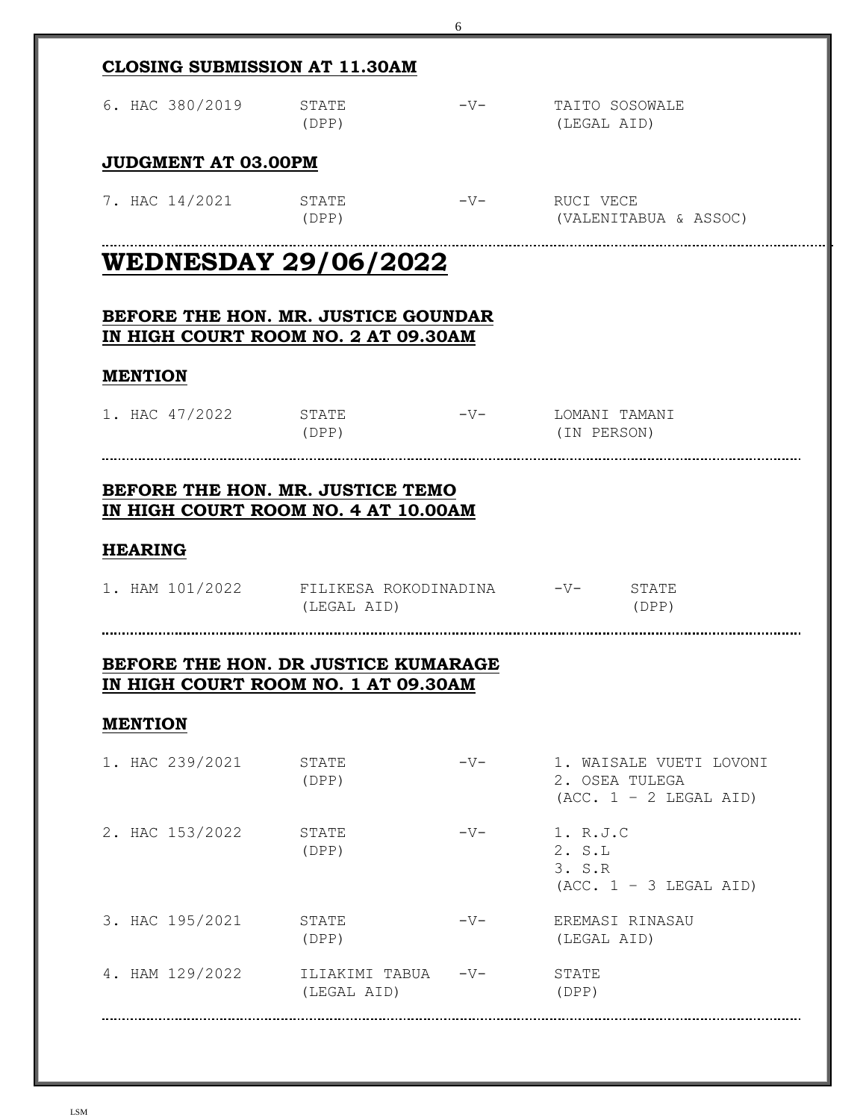| <b>CLOSING SUBMISSION AT 11.30AM</b>                                       |                                   |       |                                                                       |  |  |  |  |
|----------------------------------------------------------------------------|-----------------------------------|-------|-----------------------------------------------------------------------|--|--|--|--|
| 6. HAC 380/2019                                                            | STATE<br>(DPP)                    |       | -V- TAITO SOSOWALE<br>(LEGAL AID)                                     |  |  |  |  |
| JUDGMENT AT 03.00PM                                                        |                                   |       |                                                                       |  |  |  |  |
| 7. HAC 14/2021 STATE                                                       | (DPP)                             |       | (VALENITABUA & ASSOC)                                                 |  |  |  |  |
| <b>WEDNESDAY 29/06/2022</b>                                                |                                   |       |                                                                       |  |  |  |  |
| BEFORE THE HON. MR. JUSTICE GOUNDAR<br>IN HIGH COURT ROOM NO. 2 AT 09.30AM |                                   |       |                                                                       |  |  |  |  |
| <b>MENTION</b>                                                             |                                   |       |                                                                       |  |  |  |  |
| 1. HAC 47/2022 STATE - V- LOMANI TAMANI                                    | (DPP)                             |       | (IN PERSON)                                                           |  |  |  |  |
| BEFORE THE HON. MR. JUSTICE TEMO<br>IN HIGH COURT ROOM NO. 4 AT 10.00AM    |                                   |       |                                                                       |  |  |  |  |
| <b>HEARING</b>                                                             |                                   |       |                                                                       |  |  |  |  |
| 1. HAM 101/2022 FILIKESA ROKODINADINA -V- STATE                            | (LEGAL AID)                       |       | (DPP)                                                                 |  |  |  |  |
|                                                                            |                                   |       |                                                                       |  |  |  |  |
| BEFORE THE HON. DR JUSTICE KUMARAGE<br>IN HIGH COURT ROOM NO. 1 AT 09.30AM |                                   |       |                                                                       |  |  |  |  |
| <b>MENTION</b>                                                             |                                   |       |                                                                       |  |  |  |  |
| 1. HAC 239/2021                                                            | STATE<br>(DPP)                    | $-V-$ | 1. WAISALE VUETI LOVONI<br>2. OSEA TULEGA<br>$(ACC. 1 - 2 LEGAL AID)$ |  |  |  |  |
| 2. HAC 153/2022                                                            | STATE<br>(DPP)                    | $-V-$ | 1. R.J.C<br>2. S.L<br>3. S.R<br>$(ACC. 1 - 3 LEGAL AID)$              |  |  |  |  |
| 3. HAC 195/2021                                                            | STATE<br>(DPP)                    | $-V-$ | EREMASI RINASAU<br>(LEGAL AID)                                        |  |  |  |  |
| 4. HAM 129/2022                                                            | ILIAKIMI TABUA -V-<br>(LEGAL AID) |       | STATE<br>(DPP)                                                        |  |  |  |  |
|                                                                            |                                   |       |                                                                       |  |  |  |  |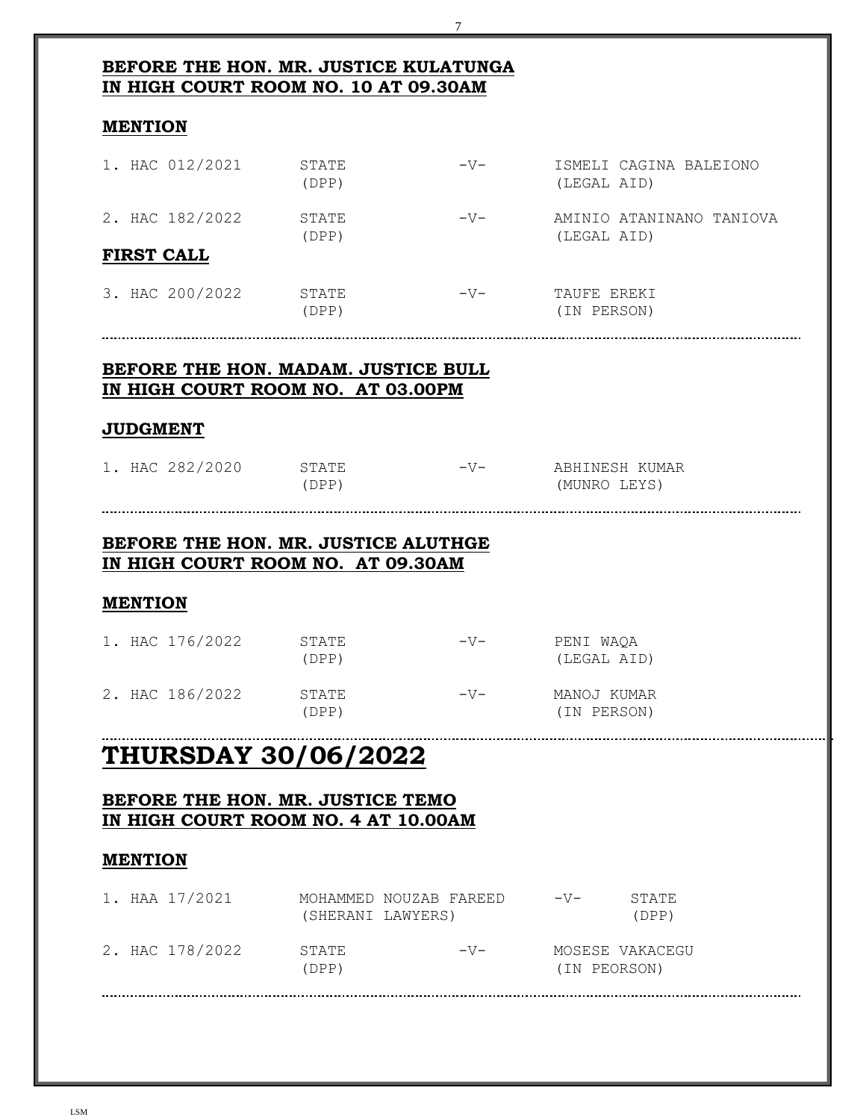| IN HIGH COURT ROOM NO. 10 AT 09.30AM                                                                                                                                                                                                                                                 |                                                                          |       |                                         |  |
|--------------------------------------------------------------------------------------------------------------------------------------------------------------------------------------------------------------------------------------------------------------------------------------|--------------------------------------------------------------------------|-------|-----------------------------------------|--|
| <b>MENTION</b>                                                                                                                                                                                                                                                                       |                                                                          |       |                                         |  |
| 1. HAC 012/2021 STATE                                                                                                                                                                                                                                                                | (DPP)                                                                    | $-V-$ | ISMELI CAGINA BALEIONO<br>(LEGAL AID)   |  |
| 2. HAC 182/2022 STATE                                                                                                                                                                                                                                                                | (DPP)                                                                    | $-V-$ | AMINIO ATANINANO TANIOVA<br>(LEGAL AID) |  |
| <b>FIRST CALL</b>                                                                                                                                                                                                                                                                    |                                                                          |       |                                         |  |
| 3. HAC 200/2022 STATE                                                                                                                                                                                                                                                                | (DPP)                                                                    | $-V-$ | TAUFE EREKI<br>(IN PERSON)              |  |
|                                                                                                                                                                                                                                                                                      | BEFORE THE HON. MADAM. JUSTICE BULL<br>IN HIGH COURT ROOM NO. AT 03.00PM |       |                                         |  |
| <b>JUDGMENT</b>                                                                                                                                                                                                                                                                      |                                                                          |       |                                         |  |
|                                                                                                                                                                                                                                                                                      |                                                                          |       |                                         |  |
|                                                                                                                                                                                                                                                                                      | (DPP)                                                                    |       | (MUNRO LEYS)                            |  |
|                                                                                                                                                                                                                                                                                      | STATE<br>(DPP)                                                           | $-V-$ | PENI WAQA<br>(LEGAL AID)                |  |
|                                                                                                                                                                                                                                                                                      | STATE<br>(DPP)                                                           |       | (IN PERSON)                             |  |
| 1. HAC 282/2020 STATE<br>BEFORE THE HON. MR. JUSTICE ALUTHGE<br>IN HIGH COURT ROOM NO. AT 09.30AM<br><b>MENTION</b><br>1. HAC 176/2022<br>2. HAC 186/2022<br><b>THURSDAY 30/06/2022</b><br>BEFORE THE HON. MR. JUSTICE TEMO<br>IN HIGH COURT ROOM NO. 4 AT 10.00AM<br><b>MENTION</b> |                                                                          |       |                                         |  |
| 1. HAA 17/2021                                                                                                                                                                                                                                                                       | MOHAMMED NOUZAB FAREED -V-<br>(SHERANI LAWYERS)                          |       | STATE<br>(DPP)                          |  |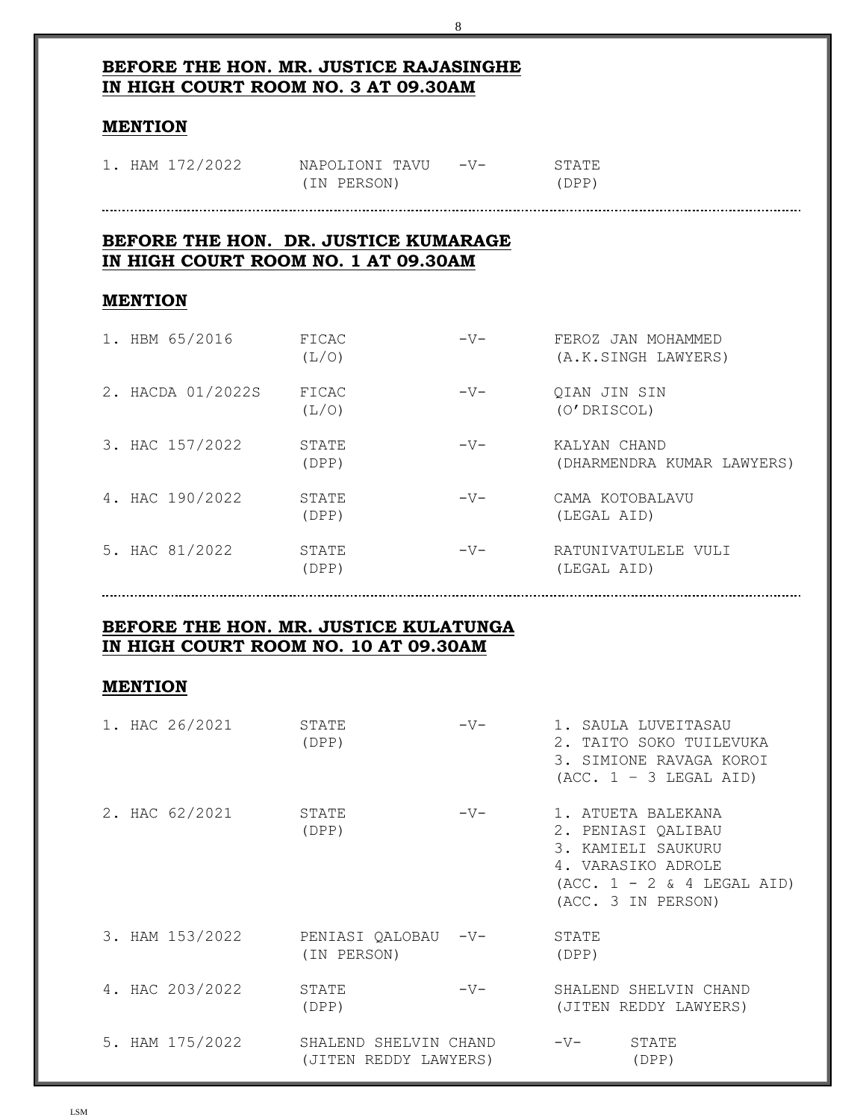### **BEFORE THE HON. MR. JUSTICE RAJASINGHE IN HIGH COURT ROOM NO. 3 AT 09.30AM**

#### **MENTION**

| 1. HAM 172/2022 | NAPOLIONI TAVU -V- | STATE |
|-----------------|--------------------|-------|
|                 | (IN PERSON)        | (DPP) |

#### 

## **BEFORE THE HON. DR. JUSTICE KUMARAGE IN HIGH COURT ROOM NO. 1 AT 09.30AM**

#### **MENTION**

| 1. HBM 65/2016    | FICAC<br>(L/O) | $-V-$ | FEROZ JAN MOHAMMED<br>(A.K.SINGH LAWYERS)  |
|-------------------|----------------|-------|--------------------------------------------|
| 2. HACDA 01/2022S | FICAC<br>(L/O) | $-V-$ | QIAN JIN SIN<br>(O'DRISCOL)                |
| 3. HAC 157/2022   | STATE<br>(DPP) | $-V-$ | KALYAN CHAND<br>(DHARMENDRA KUMAR LAWYERS) |
| 4. HAC 190/2022   | STATE<br>(DPP) | $-V-$ | CAMA KOTOBALAVU<br>(LEGAL AID)             |
| 5. HAC 81/2022    | STATE<br>(DPP) | $-V-$ | RATUNIVATULELE VULI<br>(LEGAL AID)         |

#### **BEFORE THE HON. MR. JUSTICE KULATUNGA IN HIGH COURT ROOM NO. 10 AT 09.30AM**

#### **MENTION**

| 1. HAC 26/2021  | STATE<br>(DPP)                                 | $-V-$ |                | 1. SAULA LUVEITASAU<br>2. TAITO SOKO TUILEVUKA<br>3. SIMIONE RAVAGA KOROI<br>$(ACC. 1 - 3 LEGAL AID)$                                      |
|-----------------|------------------------------------------------|-------|----------------|--------------------------------------------------------------------------------------------------------------------------------------------|
| 2. HAC 62/2021  | STATE<br>(DPP)                                 | $-V-$ |                | 1. ATUETA BALEKANA<br>2. PENIASI QALIBAU<br>3. KAMIELI SAUKURU<br>4. VARASIKO ADROLE<br>$(ACC. 1 - 2 & 4 LEGAL AID)$<br>(ACC. 3 IN PERSON) |
| 3. HAM 153/2022 | PENIASI QALOBAU -V-<br>(IN PERSON)             |       | STATE<br>(DPP) |                                                                                                                                            |
| 4. HAC 203/2022 | STATE<br>(DPP)                                 | $-V-$ |                | SHALEND SHELVIN CHAND<br>(JITEN REDDY LAWYERS)                                                                                             |
| 5. HAM 175/2022 | SHALEND SHELVIN CHAND<br>(JITEN REDDY LAWYERS) |       | $-V-$          | STATE<br>(DPP)                                                                                                                             |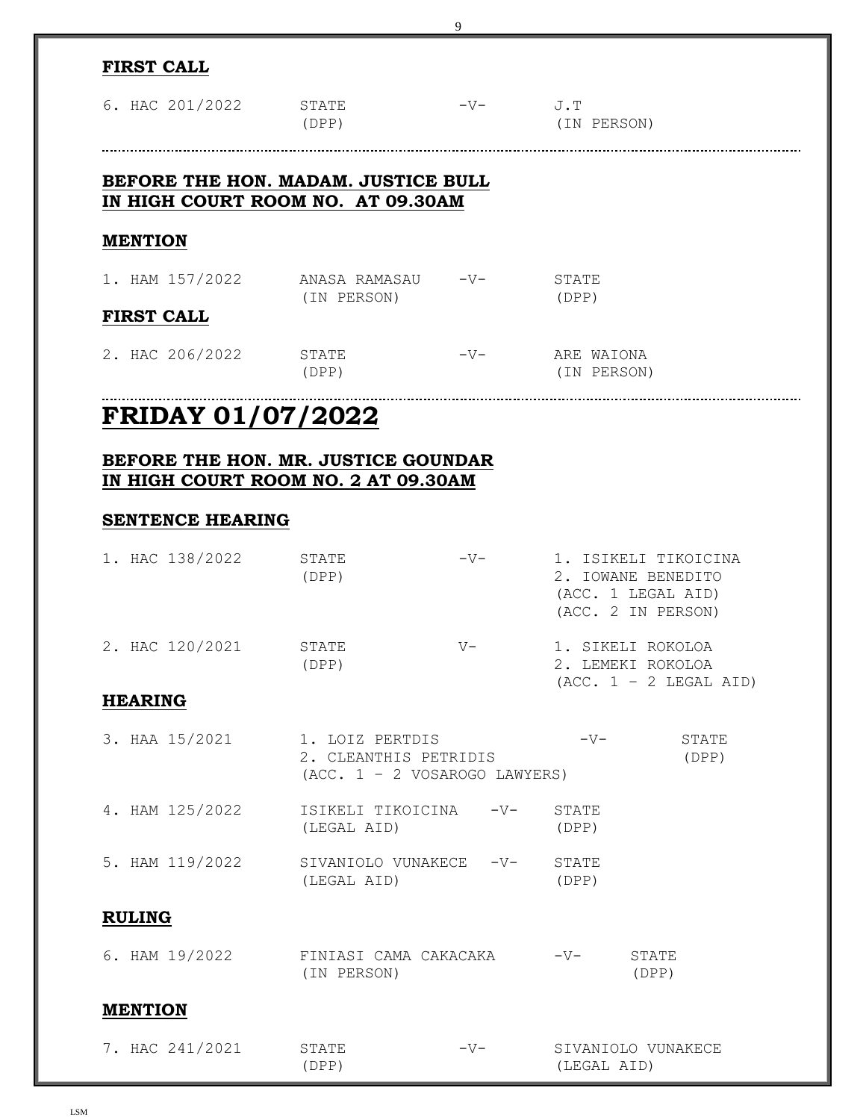| <b>FIRST CALL</b>                                                        |                                                                             |          |                                                                                        |
|--------------------------------------------------------------------------|-----------------------------------------------------------------------------|----------|----------------------------------------------------------------------------------------|
| 6. HAC 201/2022 STATE                                                    | (DPP)                                                                       | $-V J.T$ | (IN PERSON)                                                                            |
|                                                                          |                                                                             |          |                                                                                        |
| BEFORE THE HON. MADAM. JUSTICE BULL<br>IN HIGH COURT ROOM NO. AT 09.30AM |                                                                             |          |                                                                                        |
| <b>MENTION</b>                                                           |                                                                             |          |                                                                                        |
| 1. HAM 157/2022 ANASA RAMASAU -V-                                        | (IN PERSON)                                                                 |          | STATE<br>(DPP)                                                                         |
| <b>FIRST CALL</b>                                                        |                                                                             |          |                                                                                        |
| 2. HAC 206/2022 STATE                                                    | (DPP)                                                                       | $-V-$    | ARE WAIONA<br>(IN PERSON)                                                              |
| <b>FRIDAY 01/07/2022</b>                                                 |                                                                             |          |                                                                                        |
| BEFORE THE HON. MR. JUSTICE GOUNDAR                                      |                                                                             |          |                                                                                        |
| IN HIGH COURT ROOM NO. 2 AT 09.30AM                                      |                                                                             |          |                                                                                        |
| <b>SENTENCE HEARING</b>                                                  |                                                                             |          |                                                                                        |
| 1. HAC 138/2022                                                          | STATE<br>(DPP)                                                              | $-V-$    | 1. ISIKELI TIKOICINA<br>2. IOWANE BENEDITO<br>(ACC. 1 LEGAL AID)<br>(ACC. 2 IN PERSON) |
| 2. HAC 120/2021                                                          | STATE<br>(DPP)                                                              | $V -$    | 1. SIKELI ROKOLOA<br>2. LEMEKI ROKOLOA<br>$(ACC. 1 - 2 LEGAL AID)$                     |
| <b>HEARING</b>                                                           |                                                                             |          |                                                                                        |
| 3. HAA 15/2021                                                           | 1. LOIZ PERTDIS<br>2. CLEANTHIS PETRIDIS<br>$(ACC. 1 - 2 VOSAROGO LAWYERS)$ |          | $-V-$<br>STATE<br>(DPP)                                                                |
| 4. HAM 125/2022                                                          | ISIKELI TIKOICINA<br>(LEGAL AID)                                            | $-V-$    | STATE<br>(DPP)                                                                         |
| 5. HAM 119/2022                                                          | SIVANIOLO VUNAKECE -V-<br>(LEGAL AID)                                       |          | STATE<br>(DPP)                                                                         |
| <b>RULING</b>                                                            |                                                                             |          |                                                                                        |
| 6. HAM 19/2022                                                           | FINIASI CAMA CAKACAKA<br>(IN PERSON)                                        |          | $-V-$<br>STATE<br>(DPP)                                                                |
| <b>MENTION</b>                                                           |                                                                             |          |                                                                                        |
| 7. HAC 241/2021                                                          | STATE<br>(DPP)                                                              | $-V-$    | SIVANIOLO VUNAKECE<br>(LEGAL AID)                                                      |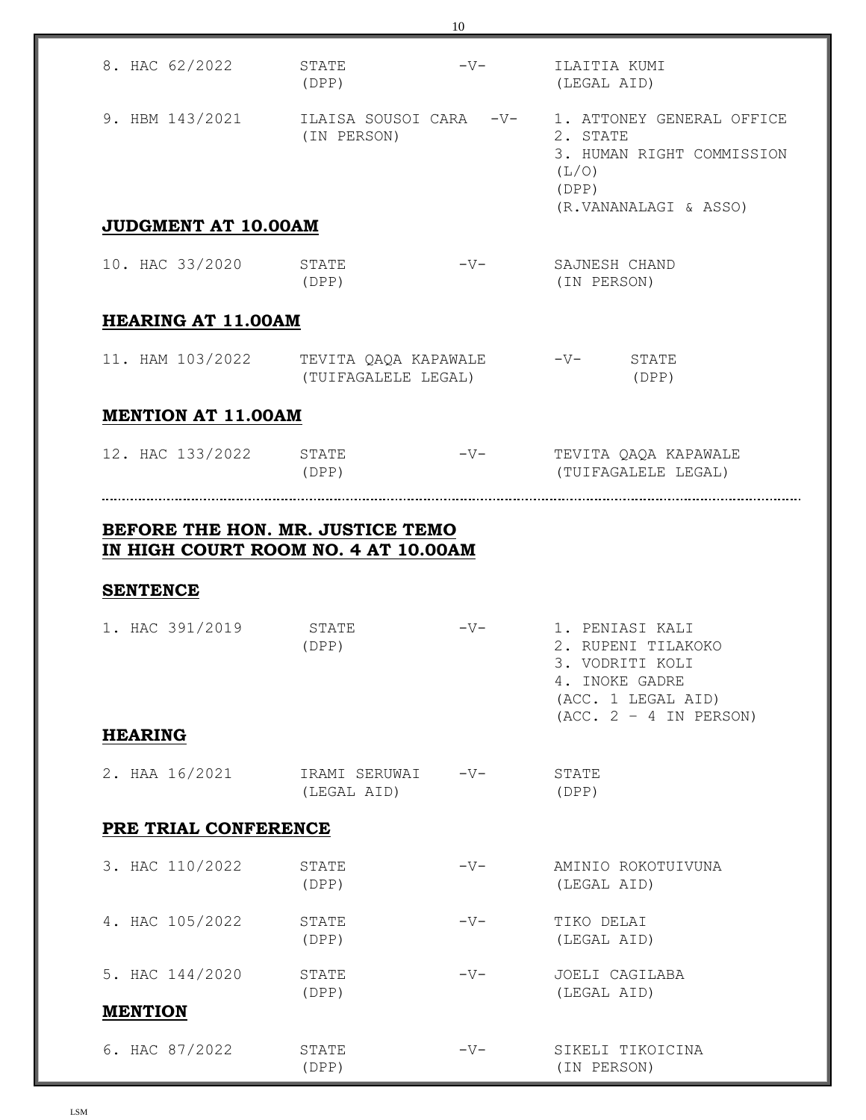| 8. HAC 62/2022                     | STATE<br>(DPP)                                               | $-V-$ | ILAITIA KUMI<br>(LEGAL AID)                                                                                   |
|------------------------------------|--------------------------------------------------------------|-------|---------------------------------------------------------------------------------------------------------------|
| 9. HBM 143/2021                    | ILAISA SOUSOI CARA -V-<br>(IN PERSON)                        |       | 1. ATTONEY GENERAL OFFICE<br>2. STATE<br>3. HUMAN RIGHT COMMISSION<br>(L/O)<br>(DPP)<br>(R.VANANALAGI & ASSO) |
| <b>JUDGMENT AT 10.00AM</b>         |                                                              |       |                                                                                                               |
| 10. HAC 33/2020                    | STATE<br>(DPP)                                               | $-V-$ | SAJNESH CHAND<br>(IN PERSON)                                                                                  |
| <b>HEARING AT 11.00AM</b>          |                                                              |       |                                                                                                               |
|                                    | 11. HAM 103/2022 TEVITA QAQA KAPAWALE<br>(TUIFAGALELE LEGAL) |       | -V- STATE<br>(DPP)                                                                                            |
| <b>MENTION AT 11.00AM</b>          |                                                              |       |                                                                                                               |
| 12. HAC 133/2022 STATE             | (DPP)                                                        |       | (TUIFAGALELE LEGAL)                                                                                           |
| <b>SENTENCE</b><br>1. HAC 391/2019 | STATE<br>(DPP)                                               | $-V-$ | 1. PENIASI KALI<br>2. RUPENI TILAKOKO<br>3. VODRITI KOLI<br>4. INOKE GADRE<br>(ACC. 1 LEGAL AID)              |
| <b>HEARING</b>                     |                                                              |       | $(ACC. 2 - 4 IN PERSON)$                                                                                      |
| 2. HAA 16/2021                     | IRAMI SERUWAI<br>(LEGAL AID)                                 | $-V-$ | STATE<br>(DPP)                                                                                                |
| PRE TRIAL CONFERENCE               |                                                              |       |                                                                                                               |
| 3. HAC 110/2022                    | STATE<br>(DPP)                                               | $-V-$ | AMINIO ROKOTUIVUNA<br>(LEGAL AID)                                                                             |
| 4. HAC 105/2022                    | STATE<br>(DPP)                                               | $-V-$ | TIKO DELAI<br>(LEGAL AID)                                                                                     |
| 5. HAC 144/2020                    | STATE<br>(DPP)                                               | $-V-$ | JOELI CAGILABA<br>(LEGAL AID)                                                                                 |
| <b>MENTION</b>                     |                                                              |       |                                                                                                               |
| 6. HAC 87/2022                     | STATE<br>(DPP)                                               | $-V-$ | SIKELI TIKOICINA<br>(IN PERSON)                                                                               |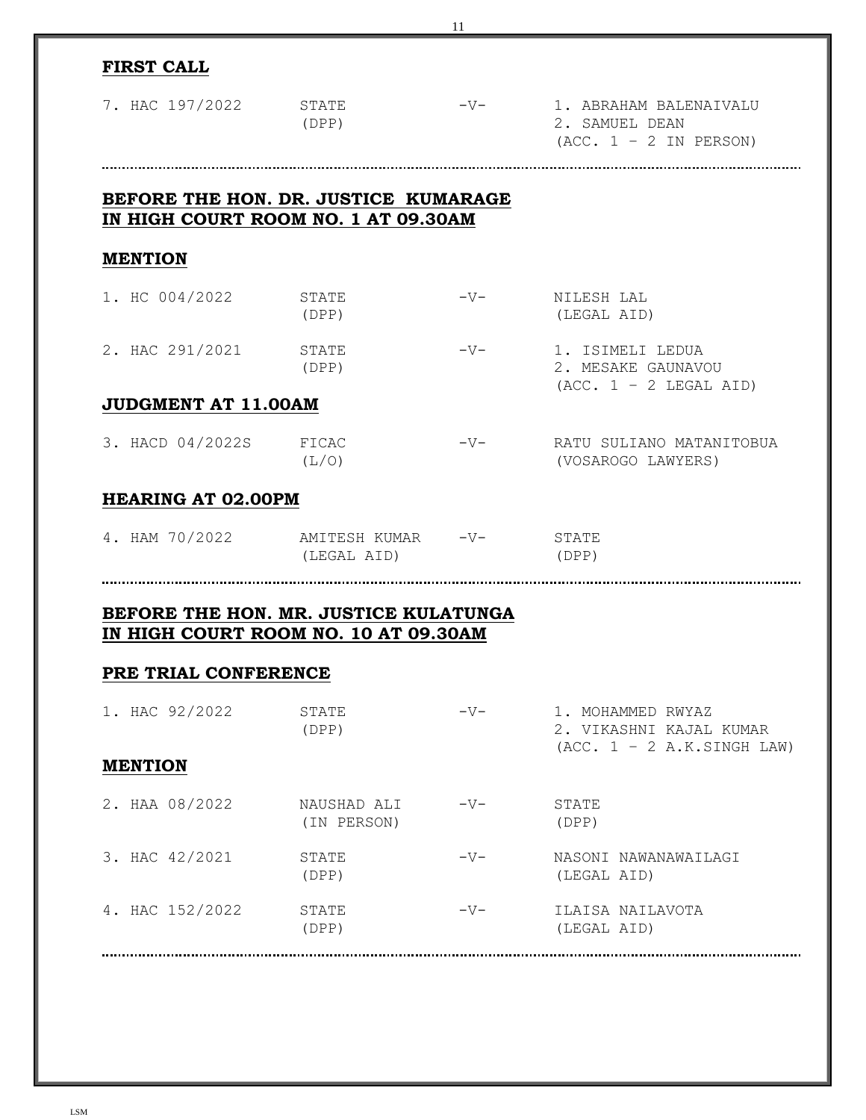|                                                                                                       |                                  | 11    |                                                                              |  |  |
|-------------------------------------------------------------------------------------------------------|----------------------------------|-------|------------------------------------------------------------------------------|--|--|
| <b>FIRST CALL</b>                                                                                     |                                  |       |                                                                              |  |  |
| 7. HAC 197/2022                                                                                       | STATE<br>(DPP)                   | $-V-$ | 1. ABRAHAM BALENAIVALU<br>2. SAMUEL DEAN<br>$(ACC. 1 - 2 IN PERSON)$         |  |  |
| BEFORE THE HON. DR. JUSTICE KUMARAGE<br>IN HIGH COURT ROOM NO. 1 AT 09.30AM                           |                                  |       |                                                                              |  |  |
| <b>MENTION</b>                                                                                        |                                  |       |                                                                              |  |  |
| 1. HC 004/2022                                                                                        | STATE<br>(DPP)                   | $-V-$ | NILESH LAL<br>(LEGAL AID)                                                    |  |  |
| 2. HAC 291/2021                                                                                       | STATE<br>(DPP)                   | $-V-$ | 1. ISIMELI LEDUA<br>2. MESAKE GAUNAVOU<br>$(ACC. 1 - 2 LEGAL AID)$           |  |  |
| JUDGMENT AT 11.00AM                                                                                   |                                  |       |                                                                              |  |  |
| 3. HACD 04/2022S                                                                                      | FICAC<br>(L/O)                   | $-V-$ | RATU SULIANO MATANITOBUA<br>(VOSAROGO LAWYERS)                               |  |  |
| <b>HEARING AT 02.00PM</b>                                                                             |                                  |       |                                                                              |  |  |
| 4. HAM 70/2022                                                                                        | AMITESH KUMAR -V-<br>(LEGAL AID) |       | STATE<br>(DPP)                                                               |  |  |
| BEFORE THE HON. MR. JUSTICE KULATUNGA<br>IN HIGH COURT ROOM NO. 10 AT 09.30AM<br>PRE TRIAL CONFERENCE |                                  |       |                                                                              |  |  |
| 1. HAC 92/2022                                                                                        | STATE<br>(DPP)                   | $-V-$ | 1. MOHAMMED RWYAZ<br>2. VIKASHNI KAJAL KUMAR<br>$(ACC. 1 - 2 A.K.SINGH LAW)$ |  |  |
| <b>MENTION</b>                                                                                        |                                  |       |                                                                              |  |  |
| 2. HAA 08/2022                                                                                        | NAUSHAD ALI<br>(IN PERSON)       | $-V-$ | STATE<br>(DPP)                                                               |  |  |
| 3. HAC 42/2021                                                                                        | STATE<br>(DPP)                   | $-V-$ | NASONI NAWANAWAILAGI<br>(LEGAL AID)                                          |  |  |
| 4. HAC 152/2022                                                                                       | STATE<br>(DPP)                   | $-V-$ | ILAISA NAILAVOTA<br>(LEGAL AID)                                              |  |  |

LSM